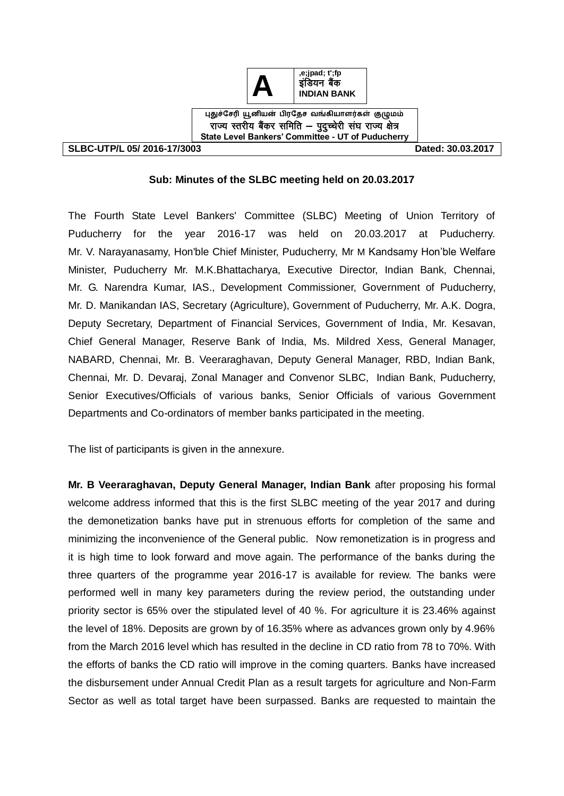

राज्य स्तरीय बैंकर समिति – पुद्च्चेरी संघ राज्य क्षेत्र **State Level Bankers' Committee - UT of Puducherry**

**SLBC-UTP/L 05/ 2016-17/3003 Dated: 30.03.2017** 

### **Sub: Minutes of the SLBC meeting held on 20.03.2017**

The Fourth State Level Bankers' Committee (SLBC) Meeting of Union Territory of Puducherry for the year 2016-17 was held on 20.03.2017 at Puducherry. Mr. V. Narayanasamy, Hon'ble Chief Minister, Puducherry, Mr M Kandsamy Hon'ble Welfare Minister, Puducherry Mr. M.K.Bhattacharya, Executive Director, Indian Bank, Chennai, Mr. G. Narendra Kumar, IAS., Development Commissioner, Government of Puducherry, Mr. D. Manikandan IAS, Secretary (Agriculture), Government of Puducherry, Mr. A.K. Dogra, Deputy Secretary, Department of Financial Services, Government of India, Mr. Kesavan, Chief General Manager, Reserve Bank of India, Ms. Mildred Xess, General Manager, NABARD, Chennai, Mr. B. Veeraraghavan, Deputy General Manager, RBD, Indian Bank, Chennai, Mr. D. Devaraj, Zonal Manager and Convenor SLBC, Indian Bank, Puducherry, Senior Executives/Officials of various banks, Senior Officials of various Government Departments and Co-ordinators of member banks participated in the meeting.

The list of participants is given in the annexure.

**Mr. B Veeraraghavan, Deputy General Manager, Indian Bank** after proposing his formal welcome address informed that this is the first SLBC meeting of the year 2017 and during the demonetization banks have put in strenuous efforts for completion of the same and minimizing the inconvenience of the General public. Now remonetization is in progress and it is high time to look forward and move again. The performance of the banks during the three quarters of the programme year 2016-17 is available for review. The banks were performed well in many key parameters during the review period, the outstanding under priority sector is 65% over the stipulated level of 40 %. For agriculture it is 23.46% against the level of 18%. Deposits are grown by of 16.35% where as advances grown only by 4.96% from the March 2016 level which has resulted in the decline in CD ratio from 78 to 70%. With the efforts of banks the CD ratio will improve in the coming quarters. Banks have increased the disbursement under Annual Credit Plan as a result targets for agriculture and Non-Farm Sector as well as total target have been surpassed. Banks are requested to maintain the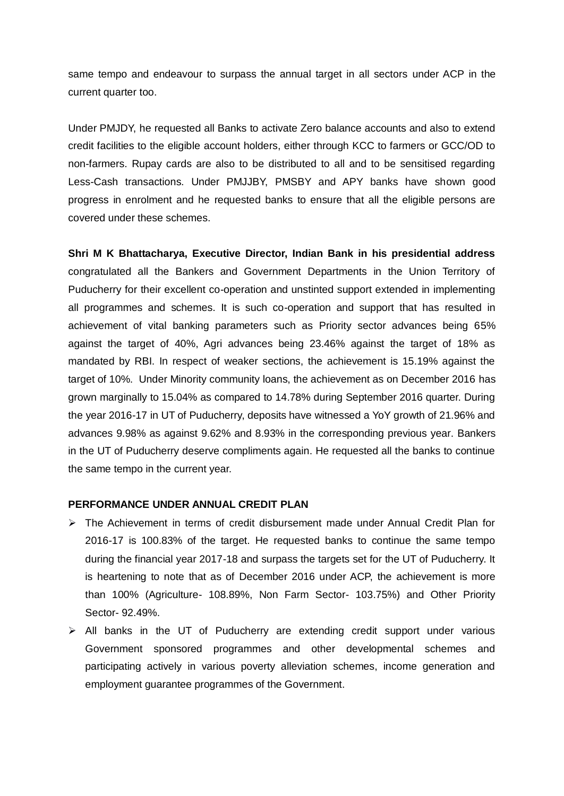same tempo and endeavour to surpass the annual target in all sectors under ACP in the current quarter too.

Under PMJDY, he requested all Banks to activate Zero balance accounts and also to extend credit facilities to the eligible account holders, either through KCC to farmers or GCC/OD to non-farmers. Rupay cards are also to be distributed to all and to be sensitised regarding Less-Cash transactions. Under PMJJBY, PMSBY and APY banks have shown good progress in enrolment and he requested banks to ensure that all the eligible persons are covered under these schemes.

**Shri M K Bhattacharya, Executive Director, Indian Bank in his presidential address** congratulated all the Bankers and Government Departments in the Union Territory of Puducherry for their excellent co-operation and unstinted support extended in implementing all programmes and schemes. It is such co-operation and support that has resulted in achievement of vital banking parameters such as Priority sector advances being 65% against the target of 40%, Agri advances being 23.46% against the target of 18% as mandated by RBI. In respect of weaker sections, the achievement is 15.19% against the target of 10%. Under Minority community loans, the achievement as on December 2016 has grown marginally to 15.04% as compared to 14.78% during September 2016 quarter. During the year 2016-17 in UT of Puducherry, deposits have witnessed a YoY growth of 21.96% and advances 9.98% as against 9.62% and 8.93% in the corresponding previous year. Bankers in the UT of Puducherry deserve compliments again. He requested all the banks to continue the same tempo in the current year.

#### **PERFORMANCE UNDER ANNUAL CREDIT PLAN**

- $\triangleright$  The Achievement in terms of credit disbursement made under Annual Credit Plan for 2016-17 is 100.83% of the target. He requested banks to continue the same tempo during the financial year 2017-18 and surpass the targets set for the UT of Puducherry. It is heartening to note that as of December 2016 under ACP, the achievement is more than 100% (Agriculture- 108.89%, Non Farm Sector- 103.75%) and Other Priority Sector- 92.49%.
- $\triangleright$  All banks in the UT of Puducherry are extending credit support under various Government sponsored programmes and other developmental schemes and participating actively in various poverty alleviation schemes, income generation and employment guarantee programmes of the Government.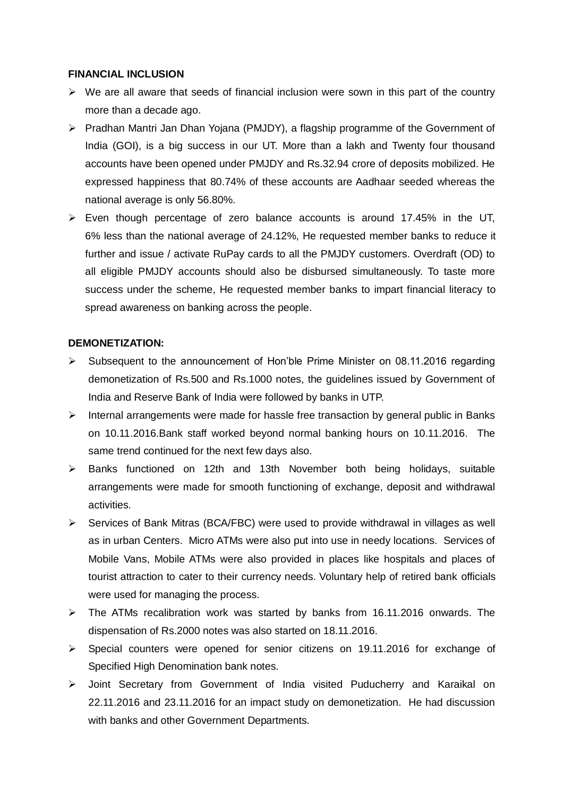### **FINANCIAL INCLUSION**

- $\triangleright$  We are all aware that seeds of financial inclusion were sown in this part of the country more than a decade ago.
- Pradhan Mantri Jan Dhan Yojana (PMJDY), a flagship programme of the Government of India (GOI), is a big success in our UT. More than a lakh and Twenty four thousand accounts have been opened under PMJDY and Rs.32.94 crore of deposits mobilized. He expressed happiness that 80.74% of these accounts are Aadhaar seeded whereas the national average is only 56.80%.
- Even though percentage of zero balance accounts is around 17.45% in the UT, 6% less than the national average of 24.12%, He requested member banks to reduce it further and issue / activate RuPay cards to all the PMJDY customers. Overdraft (OD) to all eligible PMJDY accounts should also be disbursed simultaneously. To taste more success under the scheme, He requested member banks to impart financial literacy to spread awareness on banking across the people.

### **DEMONETIZATION:**

- $\triangleright$  Subsequent to the announcement of Hon'ble Prime Minister on 08.11.2016 regarding demonetization of Rs.500 and Rs.1000 notes, the guidelines issued by Government of India and Reserve Bank of India were followed by banks in UTP.
- $\triangleright$  Internal arrangements were made for hassle free transaction by general public in Banks on 10.11.2016.Bank staff worked beyond normal banking hours on 10.11.2016. The same trend continued for the next few days also.
- Banks functioned on 12th and 13th November both being holidays, suitable arrangements were made for smooth functioning of exchange, deposit and withdrawal activities.
- $\triangleright$  Services of Bank Mitras (BCA/FBC) were used to provide withdrawal in villages as well as in urban Centers. Micro ATMs were also put into use in needy locations. Services of Mobile Vans, Mobile ATMs were also provided in places like hospitals and places of tourist attraction to cater to their currency needs. Voluntary help of retired bank officials were used for managing the process.
- $\triangleright$  The ATMs recalibration work was started by banks from 16.11.2016 onwards. The dispensation of Rs.2000 notes was also started on 18.11.2016.
- $\triangleright$  Special counters were opened for senior citizens on 19.11.2016 for exchange of Specified High Denomination bank notes.
- Joint Secretary from Government of India visited Puducherry and Karaikal on 22.11.2016 and 23.11.2016 for an impact study on demonetization. He had discussion with banks and other Government Departments.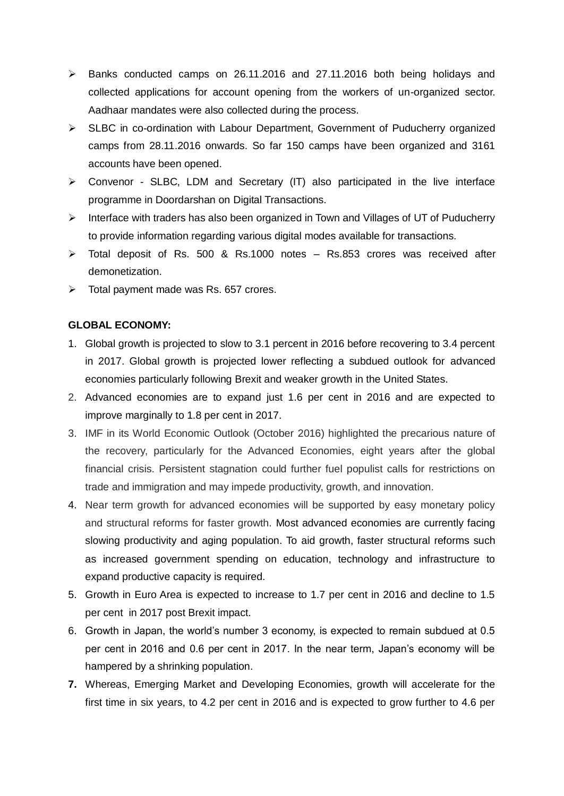- $\triangleright$  Banks conducted camps on 26.11.2016 and 27.11.2016 both being holidays and collected applications for account opening from the workers of un-organized sector. Aadhaar mandates were also collected during the process.
- SLBC in co-ordination with Labour Department, Government of Puducherry organized camps from 28.11.2016 onwards. So far 150 camps have been organized and 3161 accounts have been opened.
- $\triangleright$  Convenor SLBC, LDM and Secretary (IT) also participated in the live interface programme in Doordarshan on Digital Transactions.
- $\triangleright$  Interface with traders has also been organized in Town and Villages of UT of Puducherry to provide information regarding various digital modes available for transactions.
- Total deposit of Rs. 500 & Rs.1000 notes Rs.853 crores was received after demonetization.
- $\triangleright$  Total payment made was Rs. 657 crores.

### **GLOBAL ECONOMY:**

- 1. Global growth is projected to slow to 3.1 percent in 2016 before recovering to 3.4 percent in 2017. Global growth is projected lower reflecting a subdued outlook for advanced economies particularly following Brexit and weaker growth in the United States.
- 2. Advanced economies are to expand just 1.6 per cent in 2016 and are expected to improve marginally to 1.8 per cent in 2017.
- 3. IMF in its World Economic Outlook (October 2016) highlighted the precarious nature of the recovery, particularly for the Advanced Economies, eight years after the global financial crisis. Persistent stagnation could further fuel populist calls for restrictions on trade and immigration and may impede productivity, growth, and innovation.
- 4. Near term growth for advanced economies will be supported by easy monetary policy and structural reforms for faster growth. Most advanced economies are currently facing slowing productivity and aging population. To aid growth, faster structural reforms such as increased government spending on education, technology and infrastructure to expand productive capacity is required.
- 5. Growth in Euro Area is expected to increase to 1.7 per cent in 2016 and decline to 1.5 per cent in 2017 post Brexit impact.
- 6. Growth in Japan, the world's number 3 economy, is expected to remain subdued at 0.5 per cent in 2016 and 0.6 per cent in 2017. In the near term, Japan's economy will be hampered by a shrinking population.
- **7.** Whereas, Emerging Market and Developing Economies, growth will accelerate for the first time in six years, to 4.2 per cent in 2016 and is expected to grow further to 4.6 per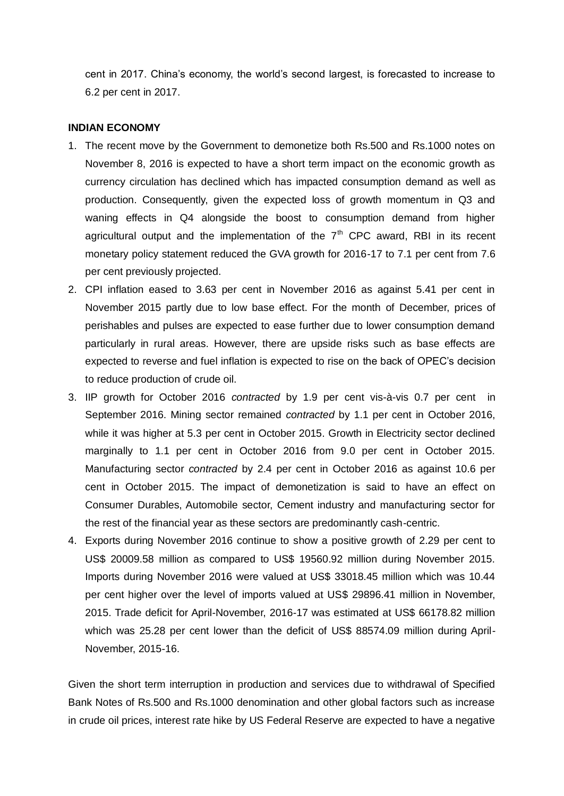cent in 2017. China's economy, the world's second largest, is forecasted to increase to 6.2 per cent in 2017.

#### **INDIAN ECONOMY**

- 1. The recent move by the Government to demonetize both Rs.500 and Rs.1000 notes on November 8, 2016 is expected to have a short term impact on the economic growth as currency circulation has declined which has impacted consumption demand as well as production. Consequently, given the expected loss of growth momentum in Q3 and waning effects in Q4 alongside the boost to consumption demand from higher agricultural output and the implementation of the  $7<sup>th</sup>$  CPC award. RBI in its recent monetary policy statement reduced the GVA growth for 2016-17 to 7.1 per cent from 7.6 per cent previously projected.
- 2. CPI inflation eased to 3.63 per cent in November 2016 as against 5.41 per cent in November 2015 partly due to low base effect. For the month of December, prices of perishables and pulses are expected to ease further due to lower consumption demand particularly in rural areas. However, there are upside risks such as base effects are expected to reverse and fuel inflation is expected to rise on the back of OPEC's decision to reduce production of crude oil.
- 3. IIP growth for October 2016 *contracted* by 1.9 per cent vis-à-vis 0.7 per cent in September 2016. Mining sector remained *contracted* by 1.1 per cent in October 2016, while it was higher at 5.3 per cent in October 2015. Growth in Electricity sector declined marginally to 1.1 per cent in October 2016 from 9.0 per cent in October 2015. Manufacturing sector *contracted* by 2.4 per cent in October 2016 as against 10.6 per cent in October 2015. The impact of demonetization is said to have an effect on Consumer Durables, Automobile sector, Cement industry and manufacturing sector for the rest of the financial year as these sectors are predominantly cash-centric.
- 4. Exports during November 2016 continue to show a positive growth of 2.29 per cent to US\$ 20009.58 million as compared to US\$ 19560.92 million during November 2015. Imports during November 2016 were valued at US\$ 33018.45 million which was 10.44 per cent higher over the level of imports valued at US\$ 29896.41 million in November, 2015. Trade deficit for April-November, 2016-17 was estimated at US\$ 66178.82 million which was 25.28 per cent lower than the deficit of US\$ 88574.09 million during April-November, 2015-16.

Given the short term interruption in production and services due to withdrawal of Specified Bank Notes of Rs.500 and Rs.1000 denomination and other global factors such as increase in crude oil prices, interest rate hike by US Federal Reserve are expected to have a negative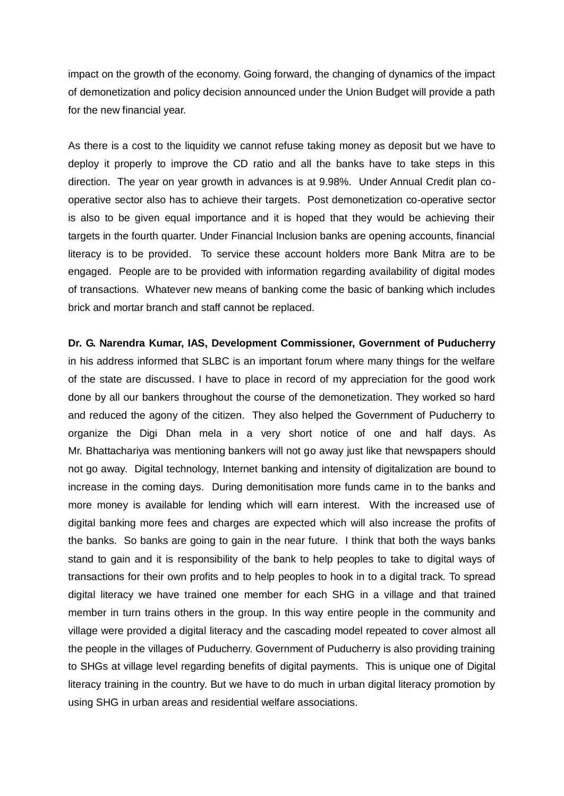impact on the growth of the economy. Going forward, the changing of dynamics of the impact of demonetization and policy decision announced under the Union Budget will provide a path for the new financial year.

As there is a cost to the liquidity we cannot refuse taking money as deposit but we have to deploy it properly to improve the CD ratio and all the banks have to take steps in this direction. The year on year growth in advances is at 9.98%. Under Annual Credit plan cooperative sector also has to achieve their targets. Post demonetization co-operative sector is also to be given equal importance and it is hoped that they would be achieving their targets in the fourth quarter. Under Financial Inclusion banks are opening accounts, financial literacy is to be provided. To service these account holders more Bank Mitra are to be engaged. People are to be provided with information regarding availability of digital modes of transactions. Whatever new means of banking come the basic of banking which includes brick and mortar branch and staff cannot be replaced.

**Dr. G. Narendra Kumar, IAS, Development Commissioner, Government of Puducherry**  in his address informed that SLBC is an important forum where many things for the welfare of the state are discussed. I have to place in record of my appreciation for the good work done by all our bankers throughout the course of the demonetization. They worked so hard and reduced the agony of the citizen. They also helped the Government of Puducherry to organize the Digi Dhan mela in a very short notice of one and half days. As Mr. Bhattachariya was mentioning bankers will not go away just like that newspapers should not go away. Digital technology, Internet banking and intensity of digitalization are bound to increase in the coming days. During demonitisation more funds came in to the banks and more money is available for lending which will earn interest. With the increased use of digital banking more fees and charges are expected which will also increase the profits of the banks. So banks are going to gain in the near future. I think that both the ways banks stand to gain and it is responsibility of the bank to help peoples to take to digital ways of transactions for their own profits and to help peoples to hook in to a digital track. To spread digital literacy we have trained one member for each SHG in a village and that trained member in turn trains others in the group. In this way entire people in the community and village were provided a digital literacy and the cascading model repeated to cover almost all the people in the villages of Puducherry. Government of Puducherry is also providing training to SHGs at village level regarding benefits of digital payments. This is unique one of Digital literacy training in the country. But we have to do much in urban digital literacy promotion by using SHG in urban areas and residential welfare associations.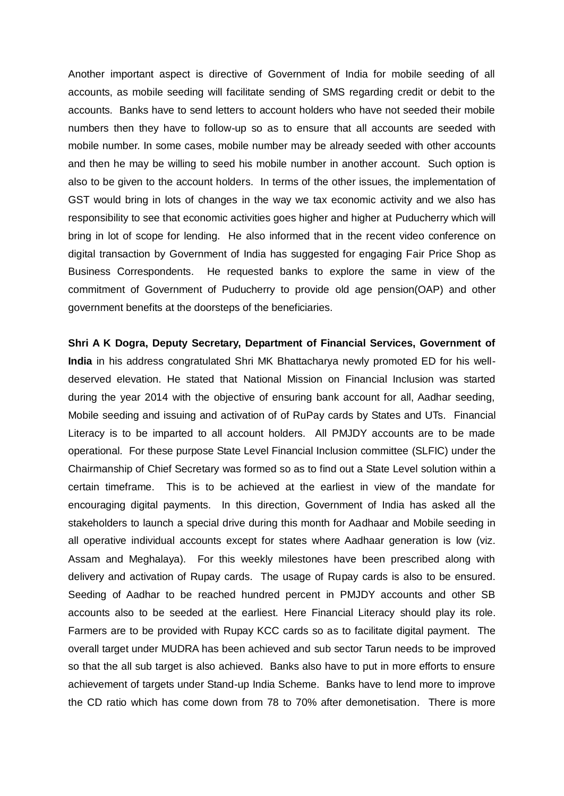Another important aspect is directive of Government of India for mobile seeding of all accounts, as mobile seeding will facilitate sending of SMS regarding credit or debit to the accounts. Banks have to send letters to account holders who have not seeded their mobile numbers then they have to follow-up so as to ensure that all accounts are seeded with mobile number. In some cases, mobile number may be already seeded with other accounts and then he may be willing to seed his mobile number in another account. Such option is also to be given to the account holders. In terms of the other issues, the implementation of GST would bring in lots of changes in the way we tax economic activity and we also has responsibility to see that economic activities goes higher and higher at Puducherry which will bring in lot of scope for lending. He also informed that in the recent video conference on digital transaction by Government of India has suggested for engaging Fair Price Shop as Business Correspondents. He requested banks to explore the same in view of the commitment of Government of Puducherry to provide old age pension(OAP) and other government benefits at the doorsteps of the beneficiaries.

**Shri A K Dogra, Deputy Secretary, Department of Financial Services, Government of India** in his address congratulated Shri MK Bhattacharya newly promoted ED for his welldeserved elevation. He stated that National Mission on Financial Inclusion was started during the year 2014 with the objective of ensuring bank account for all, Aadhar seeding, Mobile seeding and issuing and activation of of RuPay cards by States and UTs. Financial Literacy is to be imparted to all account holders. All PMJDY accounts are to be made operational. For these purpose State Level Financial Inclusion committee (SLFIC) under the Chairmanship of Chief Secretary was formed so as to find out a State Level solution within a certain timeframe. This is to be achieved at the earliest in view of the mandate for encouraging digital payments. In this direction, Government of India has asked all the stakeholders to launch a special drive during this month for Aadhaar and Mobile seeding in all operative individual accounts except for states where Aadhaar generation is low (viz. Assam and Meghalaya). For this weekly milestones have been prescribed along with delivery and activation of Rupay cards. The usage of Rupay cards is also to be ensured. Seeding of Aadhar to be reached hundred percent in PMJDY accounts and other SB accounts also to be seeded at the earliest. Here Financial Literacy should play its role. Farmers are to be provided with Rupay KCC cards so as to facilitate digital payment. The overall target under MUDRA has been achieved and sub sector Tarun needs to be improved so that the all sub target is also achieved. Banks also have to put in more efforts to ensure achievement of targets under Stand-up India Scheme. Banks have to lend more to improve the CD ratio which has come down from 78 to 70% after demonetisation. There is more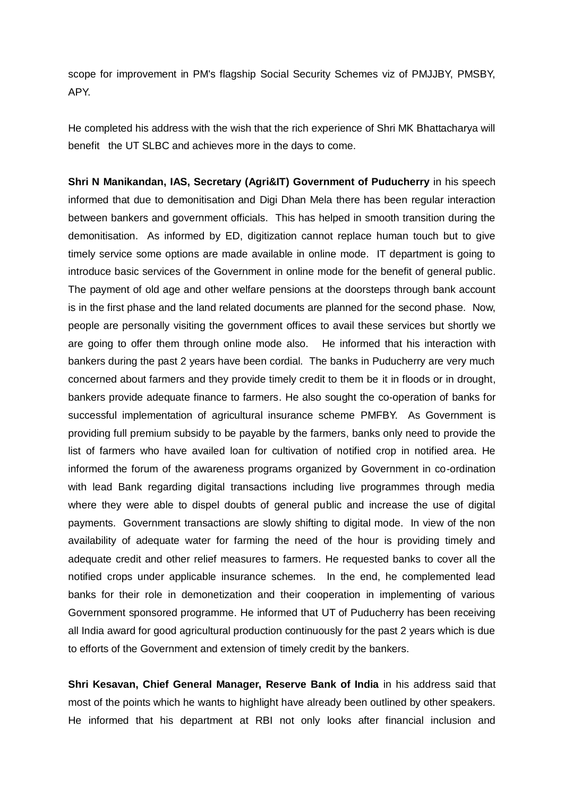scope for improvement in PM's flagship Social Security Schemes viz of PMJJBY, PMSBY, APY.

He completed his address with the wish that the rich experience of Shri MK Bhattacharya will benefit the UT SLBC and achieves more in the days to come.

**Shri N Manikandan, IAS, Secretary (Agri&IT) Government of Puducherry** in his speech informed that due to demonitisation and Digi Dhan Mela there has been regular interaction between bankers and government officials. This has helped in smooth transition during the demonitisation. As informed by ED, digitization cannot replace human touch but to give timely service some options are made available in online mode. IT department is going to introduce basic services of the Government in online mode for the benefit of general public. The payment of old age and other welfare pensions at the doorsteps through bank account is in the first phase and the land related documents are planned for the second phase. Now, people are personally visiting the government offices to avail these services but shortly we are going to offer them through online mode also. He informed that his interaction with bankers during the past 2 years have been cordial. The banks in Puducherry are very much concerned about farmers and they provide timely credit to them be it in floods or in drought, bankers provide adequate finance to farmers. He also sought the co-operation of banks for successful implementation of agricultural insurance scheme PMFBY. As Government is providing full premium subsidy to be payable by the farmers, banks only need to provide the list of farmers who have availed loan for cultivation of notified crop in notified area. He informed the forum of the awareness programs organized by Government in co-ordination with lead Bank regarding digital transactions including live programmes through media where they were able to dispel doubts of general public and increase the use of digital payments. Government transactions are slowly shifting to digital mode. In view of the non availability of adequate water for farming the need of the hour is providing timely and adequate credit and other relief measures to farmers. He requested banks to cover all the notified crops under applicable insurance schemes. In the end, he complemented lead banks for their role in demonetization and their cooperation in implementing of various Government sponsored programme. He informed that UT of Puducherry has been receiving all India award for good agricultural production continuously for the past 2 years which is due to efforts of the Government and extension of timely credit by the bankers.

**Shri Kesavan, Chief General Manager, Reserve Bank of India** in his address said that most of the points which he wants to highlight have already been outlined by other speakers. He informed that his department at RBI not only looks after financial inclusion and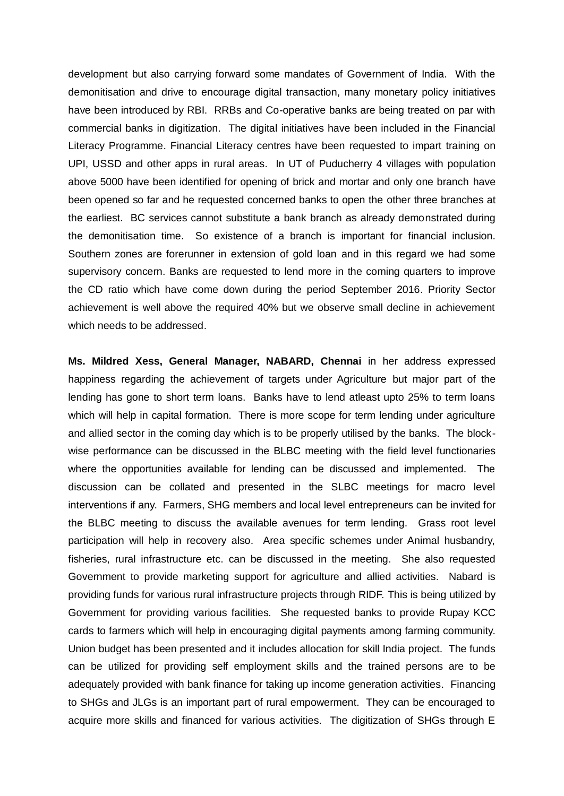development but also carrying forward some mandates of Government of India. With the demonitisation and drive to encourage digital transaction, many monetary policy initiatives have been introduced by RBI. RRBs and Co-operative banks are being treated on par with commercial banks in digitization. The digital initiatives have been included in the Financial Literacy Programme. Financial Literacy centres have been requested to impart training on UPI, USSD and other apps in rural areas. In UT of Puducherry 4 villages with population above 5000 have been identified for opening of brick and mortar and only one branch have been opened so far and he requested concerned banks to open the other three branches at the earliest. BC services cannot substitute a bank branch as already demonstrated during the demonitisation time. So existence of a branch is important for financial inclusion. Southern zones are forerunner in extension of gold loan and in this regard we had some supervisory concern. Banks are requested to lend more in the coming quarters to improve the CD ratio which have come down during the period September 2016. Priority Sector achievement is well above the required 40% but we observe small decline in achievement which needs to be addressed.

**Ms. Mildred Xess, General Manager, NABARD, Chennai** in her address expressed happiness regarding the achievement of targets under Agriculture but major part of the lending has gone to short term loans. Banks have to lend atleast upto 25% to term loans which will help in capital formation. There is more scope for term lending under agriculture and allied sector in the coming day which is to be properly utilised by the banks. The blockwise performance can be discussed in the BLBC meeting with the field level functionaries where the opportunities available for lending can be discussed and implemented. The discussion can be collated and presented in the SLBC meetings for macro level interventions if any. Farmers, SHG members and local level entrepreneurs can be invited for the BLBC meeting to discuss the available avenues for term lending. Grass root level participation will help in recovery also. Area specific schemes under Animal husbandry, fisheries, rural infrastructure etc. can be discussed in the meeting. She also requested Government to provide marketing support for agriculture and allied activities. Nabard is providing funds for various rural infrastructure projects through RIDF. This is being utilized by Government for providing various facilities. She requested banks to provide Rupay KCC cards to farmers which will help in encouraging digital payments among farming community. Union budget has been presented and it includes allocation for skill India project. The funds can be utilized for providing self employment skills and the trained persons are to be adequately provided with bank finance for taking up income generation activities. Financing to SHGs and JLGs is an important part of rural empowerment. They can be encouraged to acquire more skills and financed for various activities. The digitization of SHGs through E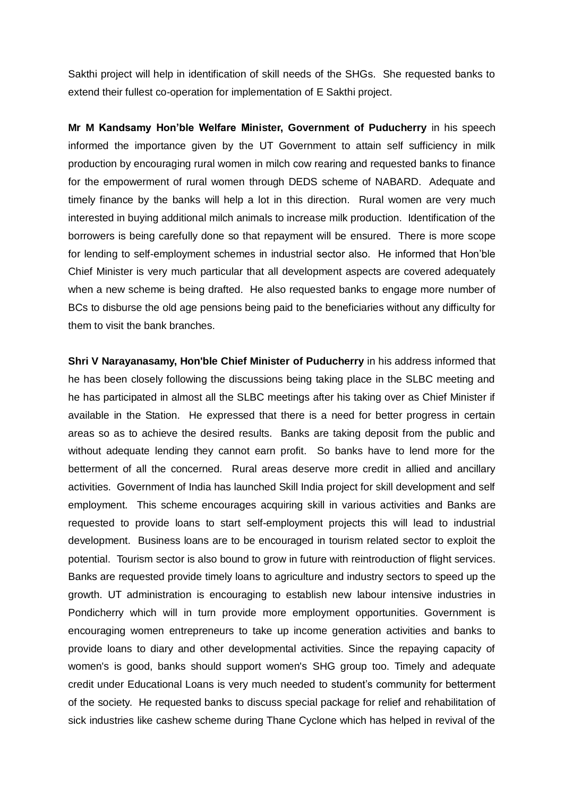Sakthi project will help in identification of skill needs of the SHGs. She requested banks to extend their fullest co-operation for implementation of E Sakthi project.

**Mr M Kandsamy Hon'ble Welfare Minister, Government of Puducherry** in his speech informed the importance given by the UT Government to attain self sufficiency in milk production by encouraging rural women in milch cow rearing and requested banks to finance for the empowerment of rural women through DEDS scheme of NABARD. Adequate and timely finance by the banks will help a lot in this direction. Rural women are very much interested in buying additional milch animals to increase milk production. Identification of the borrowers is being carefully done so that repayment will be ensured. There is more scope for lending to self-employment schemes in industrial sector also. He informed that Hon'ble Chief Minister is very much particular that all development aspects are covered adequately when a new scheme is being drafted. He also requested banks to engage more number of BCs to disburse the old age pensions being paid to the beneficiaries without any difficulty for them to visit the bank branches.

**Shri V Narayanasamy, Hon'ble Chief Minister of Puducherry** in his address informed that he has been closely following the discussions being taking place in the SLBC meeting and he has participated in almost all the SLBC meetings after his taking over as Chief Minister if available in the Station. He expressed that there is a need for better progress in certain areas so as to achieve the desired results. Banks are taking deposit from the public and without adequate lending they cannot earn profit. So banks have to lend more for the betterment of all the concerned. Rural areas deserve more credit in allied and ancillary activities. Government of India has launched Skill India project for skill development and self employment. This scheme encourages acquiring skill in various activities and Banks are requested to provide loans to start self-employment projects this will lead to industrial development. Business loans are to be encouraged in tourism related sector to exploit the potential. Tourism sector is also bound to grow in future with reintroduction of flight services. Banks are requested provide timely loans to agriculture and industry sectors to speed up the growth. UT administration is encouraging to establish new labour intensive industries in Pondicherry which will in turn provide more employment opportunities. Government is encouraging women entrepreneurs to take up income generation activities and banks to provide loans to diary and other developmental activities. Since the repaying capacity of women's is good, banks should support women's SHG group too. Timely and adequate credit under Educational Loans is very much needed to student's community for betterment of the society. He requested banks to discuss special package for relief and rehabilitation of sick industries like cashew scheme during Thane Cyclone which has helped in revival of the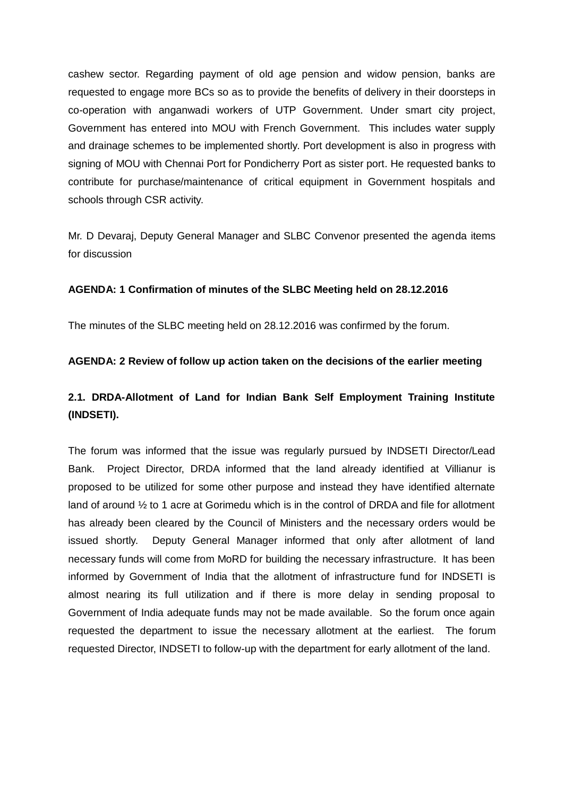cashew sector. Regarding payment of old age pension and widow pension, banks are requested to engage more BCs so as to provide the benefits of delivery in their doorsteps in co-operation with anganwadi workers of UTP Government. Under smart city project, Government has entered into MOU with French Government. This includes water supply and drainage schemes to be implemented shortly. Port development is also in progress with signing of MOU with Chennai Port for Pondicherry Port as sister port. He requested banks to contribute for purchase/maintenance of critical equipment in Government hospitals and schools through CSR activity.

Mr. D Devaraj, Deputy General Manager and SLBC Convenor presented the agenda items for discussion

### **AGENDA: 1 Confirmation of minutes of the SLBC Meeting held on 28.12.2016**

The minutes of the SLBC meeting held on 28.12.2016 was confirmed by the forum.

### **AGENDA: 2 Review of follow up action taken on the decisions of the earlier meeting**

## **2.1. DRDA-Allotment of Land for Indian Bank Self Employment Training Institute (INDSETI).**

The forum was informed that the issue was regularly pursued by INDSETI Director/Lead Bank. Project Director, DRDA informed that the land already identified at Villianur is proposed to be utilized for some other purpose and instead they have identified alternate land of around  $\frac{1}{2}$  to 1 acre at Gorimedu which is in the control of DRDA and file for allotment has already been cleared by the Council of Ministers and the necessary orders would be issued shortly. Deputy General Manager informed that only after allotment of land necessary funds will come from MoRD for building the necessary infrastructure. It has been informed by Government of India that the allotment of infrastructure fund for INDSETI is almost nearing its full utilization and if there is more delay in sending proposal to Government of India adequate funds may not be made available. So the forum once again requested the department to issue the necessary allotment at the earliest. The forum requested Director, INDSETI to follow-up with the department for early allotment of the land.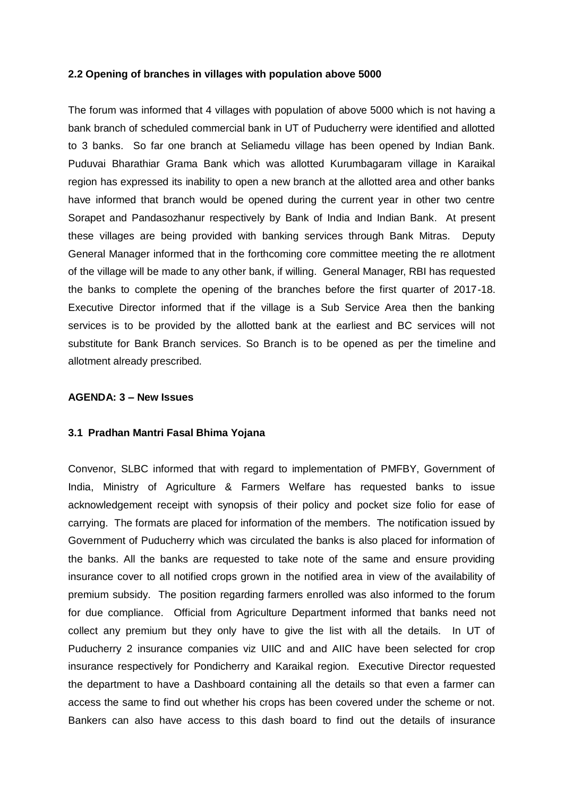#### **2.2 Opening of branches in villages with population above 5000**

The forum was informed that 4 villages with population of above 5000 which is not having a bank branch of scheduled commercial bank in UT of Puducherry were identified and allotted to 3 banks. So far one branch at Seliamedu village has been opened by Indian Bank. Puduvai Bharathiar Grama Bank which was allotted Kurumbagaram village in Karaikal region has expressed its inability to open a new branch at the allotted area and other banks have informed that branch would be opened during the current year in other two centre Sorapet and Pandasozhanur respectively by Bank of India and Indian Bank. At present these villages are being provided with banking services through Bank Mitras. Deputy General Manager informed that in the forthcoming core committee meeting the re allotment of the village will be made to any other bank, if willing. General Manager, RBI has requested the banks to complete the opening of the branches before the first quarter of 2017-18. Executive Director informed that if the village is a Sub Service Area then the banking services is to be provided by the allotted bank at the earliest and BC services will not substitute for Bank Branch services. So Branch is to be opened as per the timeline and allotment already prescribed.

#### **AGENDA: 3 – New Issues**

#### **3.1 Pradhan Mantri Fasal Bhima Yojana**

Convenor, SLBC informed that with regard to implementation of PMFBY, Government of India, Ministry of Agriculture & Farmers Welfare has requested banks to issue acknowledgement receipt with synopsis of their policy and pocket size folio for ease of carrying. The formats are placed for information of the members. The notification issued by Government of Puducherry which was circulated the banks is also placed for information of the banks. All the banks are requested to take note of the same and ensure providing insurance cover to all notified crops grown in the notified area in view of the availability of premium subsidy. The position regarding farmers enrolled was also informed to the forum for due compliance. Official from Agriculture Department informed that banks need not collect any premium but they only have to give the list with all the details. In UT of Puducherry 2 insurance companies viz UIIC and and AIIC have been selected for crop insurance respectively for Pondicherry and Karaikal region. Executive Director requested the department to have a Dashboard containing all the details so that even a farmer can access the same to find out whether his crops has been covered under the scheme or not. Bankers can also have access to this dash board to find out the details of insurance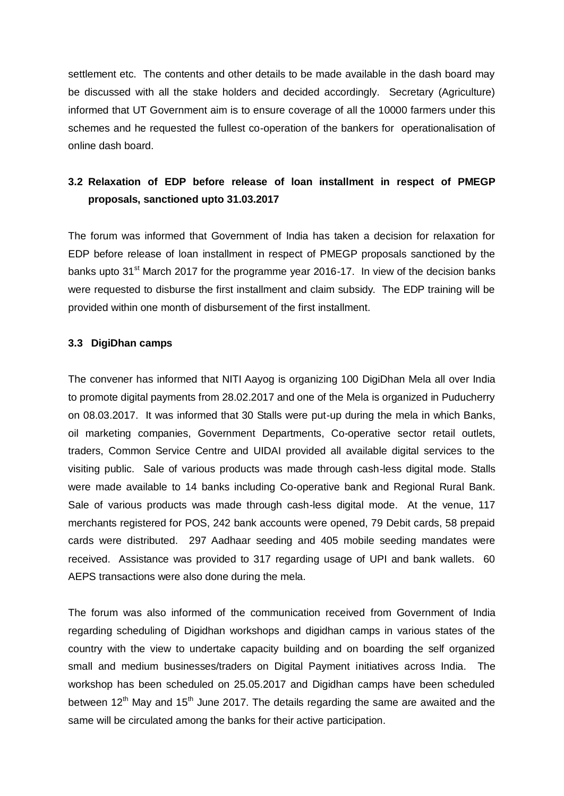settlement etc. The contents and other details to be made available in the dash board may be discussed with all the stake holders and decided accordingly. Secretary (Agriculture) informed that UT Government aim is to ensure coverage of all the 10000 farmers under this schemes and he requested the fullest co-operation of the bankers for operationalisation of online dash board.

# **3.2 Relaxation of EDP before release of loan installment in respect of PMEGP proposals, sanctioned upto 31.03.2017**

The forum was informed that Government of India has taken a decision for relaxation for EDP before release of loan installment in respect of PMEGP proposals sanctioned by the banks upto 31<sup>st</sup> March 2017 for the programme year 2016-17. In view of the decision banks were requested to disburse the first installment and claim subsidy. The EDP training will be provided within one month of disbursement of the first installment.

### **3.3 DigiDhan camps**

The convener has informed that NITI Aayog is organizing 100 DigiDhan Mela all over India to promote digital payments from 28.02.2017 and one of the Mela is organized in Puducherry on 08.03.2017. It was informed that 30 Stalls were put-up during the mela in which Banks, oil marketing companies, Government Departments, Co-operative sector retail outlets, traders, Common Service Centre and UIDAI provided all available digital services to the visiting public. Sale of various products was made through cash-less digital mode. Stalls were made available to 14 banks including Co-operative bank and Regional Rural Bank. Sale of various products was made through cash-less digital mode. At the venue, 117 merchants registered for POS, 242 bank accounts were opened, 79 Debit cards, 58 prepaid cards were distributed. 297 Aadhaar seeding and 405 mobile seeding mandates were received. Assistance was provided to 317 regarding usage of UPI and bank wallets. 60 AEPS transactions were also done during the mela.

The forum was also informed of the communication received from Government of India regarding scheduling of Digidhan workshops and digidhan camps in various states of the country with the view to undertake capacity building and on boarding the self organized small and medium businesses/traders on Digital Payment initiatives across India. The workshop has been scheduled on 25.05.2017 and Digidhan camps have been scheduled between  $12<sup>th</sup>$  May and  $15<sup>th</sup>$  June 2017. The details regarding the same are awaited and the same will be circulated among the banks for their active participation.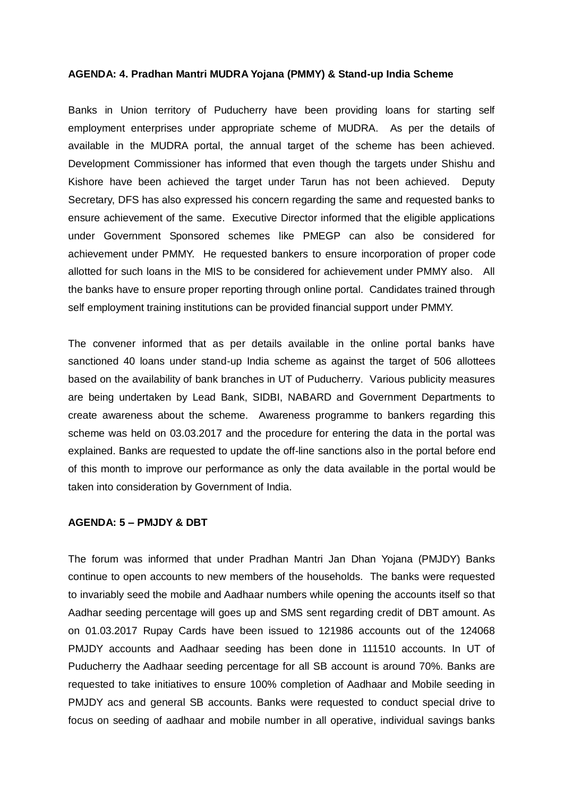#### **AGENDA: 4. Pradhan Mantri MUDRA Yojana (PMMY) & Stand-up India Scheme**

Banks in Union territory of Puducherry have been providing loans for starting self employment enterprises under appropriate scheme of MUDRA. As per the details of available in the MUDRA portal, the annual target of the scheme has been achieved. Development Commissioner has informed that even though the targets under Shishu and Kishore have been achieved the target under Tarun has not been achieved. Deputy Secretary, DFS has also expressed his concern regarding the same and requested banks to ensure achievement of the same. Executive Director informed that the eligible applications under Government Sponsored schemes like PMEGP can also be considered for achievement under PMMY. He requested bankers to ensure incorporation of proper code allotted for such loans in the MIS to be considered for achievement under PMMY also. All the banks have to ensure proper reporting through online portal. Candidates trained through self employment training institutions can be provided financial support under PMMY.

The convener informed that as per details available in the online portal banks have sanctioned 40 loans under stand-up India scheme as against the target of 506 allottees based on the availability of bank branches in UT of Puducherry. Various publicity measures are being undertaken by Lead Bank, SIDBI, NABARD and Government Departments to create awareness about the scheme. Awareness programme to bankers regarding this scheme was held on 03.03.2017 and the procedure for entering the data in the portal was explained. Banks are requested to update the off-line sanctions also in the portal before end of this month to improve our performance as only the data available in the portal would be taken into consideration by Government of India.

### **AGENDA: 5 – PMJDY & DBT**

The forum was informed that under Pradhan Mantri Jan Dhan Yojana (PMJDY) Banks continue to open accounts to new members of the households. The banks were requested to invariably seed the mobile and Aadhaar numbers while opening the accounts itself so that Aadhar seeding percentage will goes up and SMS sent regarding credit of DBT amount. As on 01.03.2017 Rupay Cards have been issued to 121986 accounts out of the 124068 PMJDY accounts and Aadhaar seeding has been done in 111510 accounts. In UT of Puducherry the Aadhaar seeding percentage for all SB account is around 70%. Banks are requested to take initiatives to ensure 100% completion of Aadhaar and Mobile seeding in PMJDY acs and general SB accounts. Banks were requested to conduct special drive to focus on seeding of aadhaar and mobile number in all operative, individual savings banks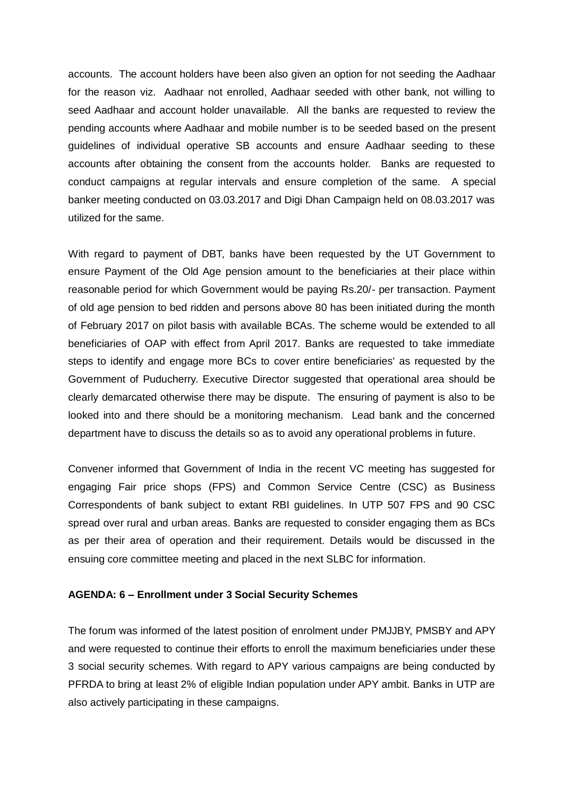accounts. The account holders have been also given an option for not seeding the Aadhaar for the reason viz. Aadhaar not enrolled, Aadhaar seeded with other bank, not willing to seed Aadhaar and account holder unavailable. All the banks are requested to review the pending accounts where Aadhaar and mobile number is to be seeded based on the present guidelines of individual operative SB accounts and ensure Aadhaar seeding to these accounts after obtaining the consent from the accounts holder. Banks are requested to conduct campaigns at regular intervals and ensure completion of the same. A special banker meeting conducted on 03.03.2017 and Digi Dhan Campaign held on 08.03.2017 was utilized for the same.

With regard to payment of DBT, banks have been requested by the UT Government to ensure Payment of the Old Age pension amount to the beneficiaries at their place within reasonable period for which Government would be paying Rs.20/- per transaction. Payment of old age pension to bed ridden and persons above 80 has been initiated during the month of February 2017 on pilot basis with available BCAs. The scheme would be extended to all beneficiaries of OAP with effect from April 2017. Banks are requested to take immediate steps to identify and engage more BCs to cover entire beneficiaries' as requested by the Government of Puducherry. Executive Director suggested that operational area should be clearly demarcated otherwise there may be dispute. The ensuring of payment is also to be looked into and there should be a monitoring mechanism. Lead bank and the concerned department have to discuss the details so as to avoid any operational problems in future.

Convener informed that Government of India in the recent VC meeting has suggested for engaging Fair price shops (FPS) and Common Service Centre (CSC) as Business Correspondents of bank subject to extant RBI guidelines. In UTP 507 FPS and 90 CSC spread over rural and urban areas. Banks are requested to consider engaging them as BCs as per their area of operation and their requirement. Details would be discussed in the ensuing core committee meeting and placed in the next SLBC for information.

#### **AGENDA: 6 – Enrollment under 3 Social Security Schemes**

The forum was informed of the latest position of enrolment under PMJJBY, PMSBY and APY and were requested to continue their efforts to enroll the maximum beneficiaries under these 3 social security schemes. With regard to APY various campaigns are being conducted by PFRDA to bring at least 2% of eligible Indian population under APY ambit. Banks in UTP are also actively participating in these campaigns.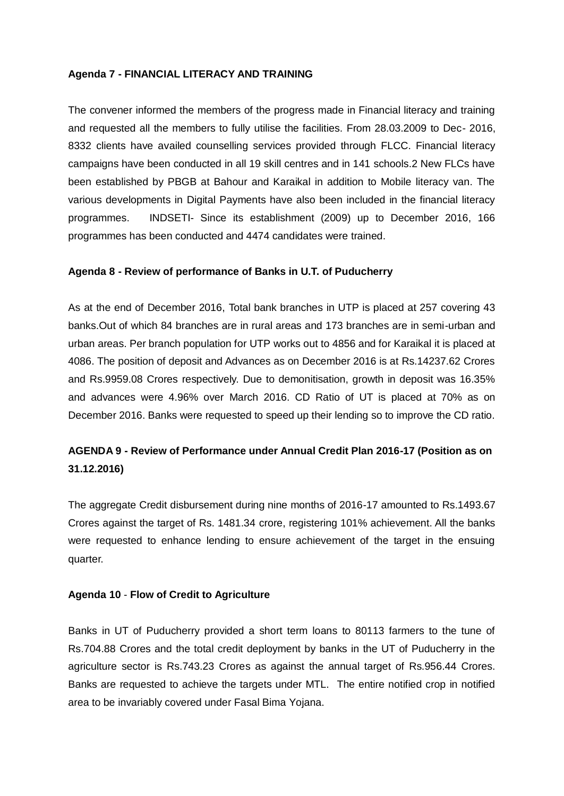### **Agenda 7 - FINANCIAL LITERACY AND TRAINING**

The convener informed the members of the progress made in Financial literacy and training and requested all the members to fully utilise the facilities. From 28.03.2009 to Dec- 2016, 8332 clients have availed counselling services provided through FLCC. Financial literacy campaigns have been conducted in all 19 skill centres and in 141 schools.2 New FLCs have been established by PBGB at Bahour and Karaikal in addition to Mobile literacy van. The various developments in Digital Payments have also been included in the financial literacy programmes. INDSETI- Since its establishment (2009) up to December 2016, 166 programmes has been conducted and 4474 candidates were trained.

### **Agenda 8 - Review of performance of Banks in U.T. of Puducherry**

As at the end of December 2016, Total bank branches in UTP is placed at 257 covering 43 banks.Out of which 84 branches are in rural areas and 173 branches are in semi-urban and urban areas. Per branch population for UTP works out to 4856 and for Karaikal it is placed at 4086. The position of deposit and Advances as on December 2016 is at Rs.14237.62 Crores and Rs.9959.08 Crores respectively. Due to demonitisation, growth in deposit was 16.35% and advances were 4.96% over March 2016. CD Ratio of UT is placed at 70% as on December 2016. Banks were requested to speed up their lending so to improve the CD ratio.

## **AGENDA 9 - Review of Performance under Annual Credit Plan 2016-17 (Position as on 31.12.2016)**

The aggregate Credit disbursement during nine months of 2016-17 amounted to Rs.1493.67 Crores against the target of Rs. 1481.34 crore, registering 101% achievement. All the banks were requested to enhance lending to ensure achievement of the target in the ensuing quarter.

#### **Agenda 10** - **Flow of Credit to Agriculture**

Banks in UT of Puducherry provided a short term loans to 80113 farmers to the tune of Rs.704.88 Crores and the total credit deployment by banks in the UT of Puducherry in the agriculture sector is Rs.743.23 Crores as against the annual target of Rs.956.44 Crores. Banks are requested to achieve the targets under MTL. The entire notified crop in notified area to be invariably covered under Fasal Bima Yojana.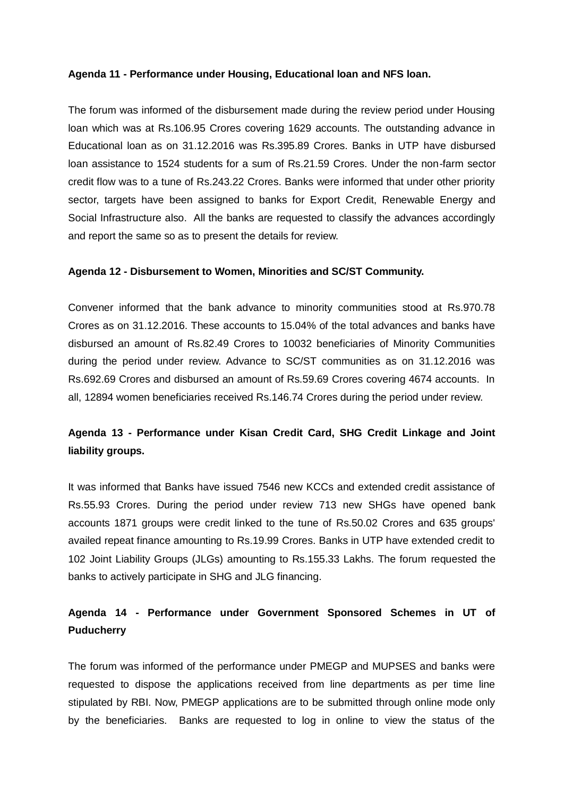#### **Agenda 11 - Performance under Housing, Educational loan and NFS loan.**

The forum was informed of the disbursement made during the review period under Housing loan which was at Rs.106.95 Crores covering 1629 accounts. The outstanding advance in Educational loan as on 31.12.2016 was Rs.395.89 Crores. Banks in UTP have disbursed loan assistance to 1524 students for a sum of Rs.21.59 Crores. Under the non-farm sector credit flow was to a tune of Rs.243.22 Crores. Banks were informed that under other priority sector, targets have been assigned to banks for Export Credit, Renewable Energy and Social Infrastructure also. All the banks are requested to classify the advances accordingly and report the same so as to present the details for review.

#### **Agenda 12 - Disbursement to Women, Minorities and SC/ST Community.**

Convener informed that the bank advance to minority communities stood at Rs.970.78 Crores as on 31.12.2016. These accounts to 15.04% of the total advances and banks have disbursed an amount of Rs.82.49 Crores to 10032 beneficiaries of Minority Communities during the period under review. Advance to SC/ST communities as on 31.12.2016 was Rs.692.69 Crores and disbursed an amount of Rs.59.69 Crores covering 4674 accounts. In all, 12894 women beneficiaries received Rs.146.74 Crores during the period under review.

## **Agenda 13 - Performance under Kisan Credit Card, SHG Credit Linkage and Joint liability groups.**

It was informed that Banks have issued 7546 new KCCs and extended credit assistance of Rs.55.93 Crores. During the period under review 713 new SHGs have opened bank accounts 1871 groups were credit linked to the tune of Rs.50.02 Crores and 635 groups' availed repeat finance amounting to Rs.19.99 Crores. Banks in UTP have extended credit to 102 Joint Liability Groups (JLGs) amounting to Rs.155.33 Lakhs. The forum requested the banks to actively participate in SHG and JLG financing.

# **Agenda 14 - Performance under Government Sponsored Schemes in UT of Puducherry**

The forum was informed of the performance under PMEGP and MUPSES and banks were requested to dispose the applications received from line departments as per time line stipulated by RBI. Now, PMEGP applications are to be submitted through online mode only by the beneficiaries. Banks are requested to log in online to view the status of the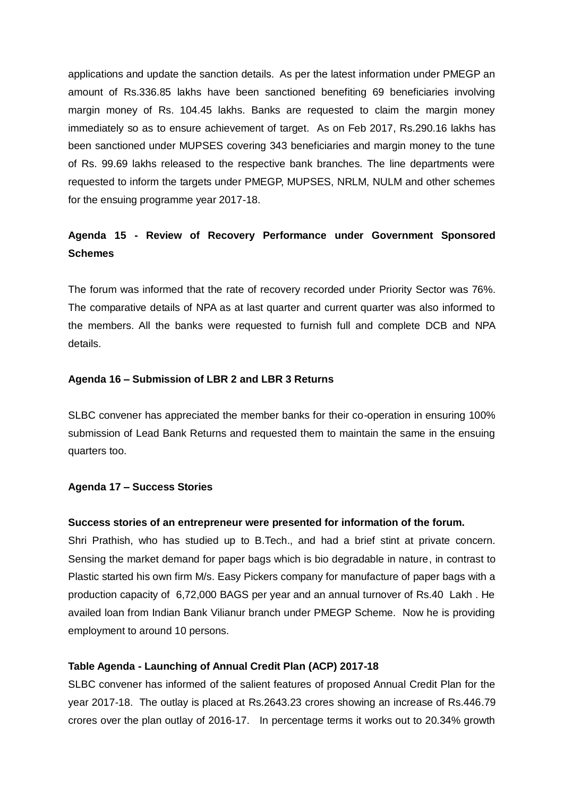applications and update the sanction details. As per the latest information under PMEGP an amount of Rs.336.85 lakhs have been sanctioned benefiting 69 beneficiaries involving margin money of Rs. 104.45 lakhs. Banks are requested to claim the margin money immediately so as to ensure achievement of target. As on Feb 2017, Rs.290.16 lakhs has been sanctioned under MUPSES covering 343 beneficiaries and margin money to the tune of Rs. 99.69 lakhs released to the respective bank branches. The line departments were requested to inform the targets under PMEGP, MUPSES, NRLM, NULM and other schemes for the ensuing programme year 2017-18.

## **Agenda 15 - Review of Recovery Performance under Government Sponsored Schemes**

The forum was informed that the rate of recovery recorded under Priority Sector was 76%. The comparative details of NPA as at last quarter and current quarter was also informed to the members. All the banks were requested to furnish full and complete DCB and NPA details.

#### **Agenda 16 – Submission of LBR 2 and LBR 3 Returns**

SLBC convener has appreciated the member banks for their co-operation in ensuring 100% submission of Lead Bank Returns and requested them to maintain the same in the ensuing quarters too.

#### **Agenda 17 – Success Stories**

#### **Success stories of an entrepreneur were presented for information of the forum.**

Shri Prathish, who has studied up to B.Tech., and had a brief stint at private concern. Sensing the market demand for paper bags which is bio degradable in nature, in contrast to Plastic started his own firm M/s. Easy Pickers company for manufacture of paper bags with a production capacity of 6,72,000 BAGS per year and an annual turnover of Rs.40 Lakh . He availed loan from Indian Bank Vilianur branch under PMEGP Scheme. Now he is providing employment to around 10 persons.

#### **Table Agenda - Launching of Annual Credit Plan (ACP) 2017-18**

SLBC convener has informed of the salient features of proposed Annual Credit Plan for the year 2017-18. The outlay is placed at Rs.2643.23 crores showing an increase of Rs.446.79 crores over the plan outlay of 2016-17. In percentage terms it works out to 20.34% growth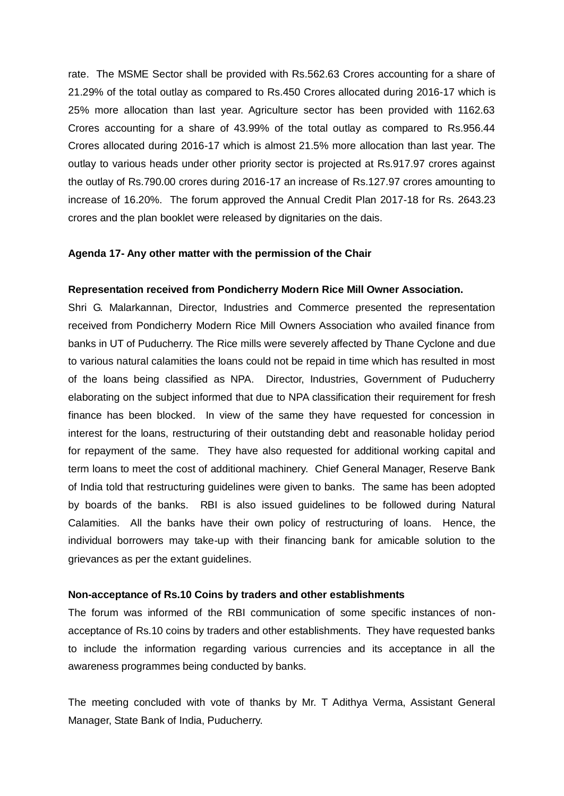rate. The MSME Sector shall be provided with Rs.562.63 Crores accounting for a share of 21.29% of the total outlay as compared to Rs.450 Crores allocated during 2016-17 which is 25% more allocation than last year. Agriculture sector has been provided with 1162.63 Crores accounting for a share of 43.99% of the total outlay as compared to Rs.956.44 Crores allocated during 2016-17 which is almost 21.5% more allocation than last year. The outlay to various heads under other priority sector is projected at Rs.917.97 crores against the outlay of Rs.790.00 crores during 2016-17 an increase of Rs.127.97 crores amounting to increase of 16.20%. The forum approved the Annual Credit Plan 2017-18 for Rs. 2643.23 crores and the plan booklet were released by dignitaries on the dais.

#### **Agenda 17- Any other matter with the permission of the Chair**

#### **Representation received from Pondicherry Modern Rice Mill Owner Association.**

Shri G. Malarkannan, Director, Industries and Commerce presented the representation received from Pondicherry Modern Rice Mill Owners Association who availed finance from banks in UT of Puducherry. The Rice mills were severely affected by Thane Cyclone and due to various natural calamities the loans could not be repaid in time which has resulted in most of the loans being classified as NPA. Director, Industries, Government of Puducherry elaborating on the subject informed that due to NPA classification their requirement for fresh finance has been blocked. In view of the same they have requested for concession in interest for the loans, restructuring of their outstanding debt and reasonable holiday period for repayment of the same. They have also requested for additional working capital and term loans to meet the cost of additional machinery. Chief General Manager, Reserve Bank of India told that restructuring guidelines were given to banks. The same has been adopted by boards of the banks. RBI is also issued guidelines to be followed during Natural Calamities. All the banks have their own policy of restructuring of loans. Hence, the individual borrowers may take-up with their financing bank for amicable solution to the grievances as per the extant guidelines.

#### **Non-acceptance of Rs.10 Coins by traders and other establishments**

The forum was informed of the RBI communication of some specific instances of nonacceptance of Rs.10 coins by traders and other establishments. They have requested banks to include the information regarding various currencies and its acceptance in all the awareness programmes being conducted by banks.

The meeting concluded with vote of thanks by Mr. T Adithya Verma, Assistant General Manager, State Bank of India, Puducherry.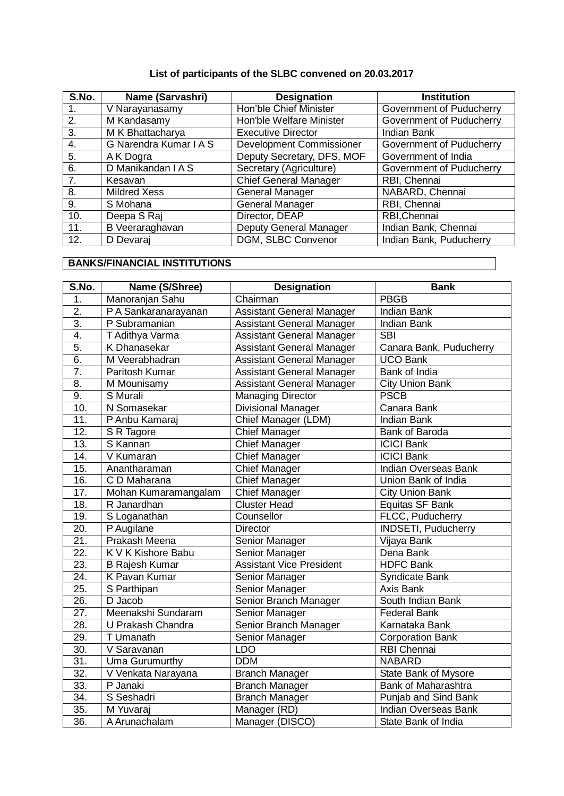## **List of participants of the SLBC convened on 20.03.2017**

| S.No. | Name (Sarvashri)       | <b>Designation</b>              | <b>Institution</b>       |
|-------|------------------------|---------------------------------|--------------------------|
|       | V Narayanasamy         | Hon'ble Chief Minister          | Government of Puducherry |
| 2.    | M Kandasamy            | Hon'ble Welfare Minister        | Government of Puducherry |
| 3.    | M K Bhattacharya       | <b>Executive Director</b>       | <b>Indian Bank</b>       |
| 4.    | G Narendra Kumar I A S | <b>Development Commissioner</b> | Government of Puducherry |
| 5.    | A K Dogra              | Deputy Secretary, DFS, MOF      | Government of India      |
| 6.    | D Manikandan I A S     | Secretary (Agriculture)         | Government of Puducherry |
| 7.    | Kesavan                | <b>Chief General Manager</b>    | RBI, Chennai             |
| 8.    | <b>Mildred Xess</b>    | General Manager                 | NABARD, Chennai          |
| 9.    | S Mohana               | General Manager                 | RBI, Chennai             |
| 10.   | Deepa S Raj            | Director, DEAP                  | RBI, Chennai             |
| 11.   | B Veeraraghavan        | Deputy General Manager          | Indian Bank, Chennai     |
| 12.   | D Devaraj              | DGM, SLBC Convenor              | Indian Bank, Puducherry  |

## **BANKS/FINANCIAL INSTITUTIONS**

| S.No.             | Name (S/Shree)         | <b>Designation</b>               | <b>Bank</b>                 |
|-------------------|------------------------|----------------------------------|-----------------------------|
| 1.                | Manoranjan Sahu        | Chairman                         | <b>PBGB</b>                 |
| $\overline{2}$ .  | PA Sankaranarayanan    | <b>Assistant General Manager</b> | <b>Indian Bank</b>          |
| $\overline{3}$ .  | P Subramanian          | <b>Assistant General Manager</b> | <b>Indian Bank</b>          |
| 4.                | T Adithya Varma        | <b>Assistant General Manager</b> | <b>SBI</b>                  |
| 5.                | K Dhanasekar           | <b>Assistant General Manager</b> | Canara Bank, Puducherry     |
| 6.                | M Veerabhadran         | <b>Assistant General Manager</b> | <b>UCO Bank</b>             |
| $\overline{7}$ .  | Paritosh Kumar         | <b>Assistant General Manager</b> | Bank of India               |
| $\overline{8}$ .  | M Mounisamy            | <b>Assistant General Manager</b> | <b>City Union Bank</b>      |
| 9.                | S Murali               | Managing Director                | <b>PSCB</b>                 |
| 10.               | N Somasekar            | <b>Divisional Manager</b>        | Canara Bank                 |
| $\overline{11}$ . | P Anbu Kamaraj         | Chief Manager (LDM)              | <b>Indian Bank</b>          |
| $\overline{12}$ . | S R Tagore             | <b>Chief Manager</b>             | Bank of Baroda              |
| 13.               | S Kannan               | <b>Chief Manager</b>             | <b>ICICI Bank</b>           |
| 14.               | $\overline{V}$ Kumaran | <b>Chief Manager</b>             | <b>ICICI Bank</b>           |
| 15.               | Anantharaman           | <b>Chief Manager</b>             | <b>Indian Overseas Bank</b> |
| 16.               | C D Maharana           | <b>Chief Manager</b>             | Union Bank of India         |
| 17.               | Mohan Kumaramangalam   | <b>Chief Manager</b>             | <b>City Union Bank</b>      |
| $\overline{18}$ . | R Janardhan            | <b>Cluster Head</b>              | Equitas SF Bank             |
| 19.               | S Loganathan           | Counsellor                       | FLCC, Puducherry            |
| $\overline{20}$ . | P Augilane             | Director                         | <b>INDSETI, Puducherry</b>  |
| $\overline{21}$ . | Prakash Meena          | Senior Manager                   | Vijaya Bank                 |
| $\overline{22}$ . | K V K Kishore Babu     | Senior Manager                   | Dena Bank                   |
| 23.               | <b>B Rajesh Kumar</b>  | <b>Assistant Vice President</b>  | <b>HDFC Bank</b>            |
| 24.               | K Pavan Kumar          | Senior Manager                   | Syndicate Bank              |
| 25.               | S Parthipan            | Senior Manager                   | Axis Bank                   |
| $\overline{26}$ . | D Jacob                | Senior Branch Manager            | South Indian Bank           |
| $\overline{27}$ . | Meenakshi Sundaram     | Senior Manager                   | <b>Federal Bank</b>         |
| 28.               | U Prakash Chandra      | Senior Branch Manager            | Karnataka Bank              |
| $\overline{29}$ . | T Umanath              | Senior Manager                   | <b>Corporation Bank</b>     |
| $\overline{30}$ . | V Saravanan            | <b>LDO</b>                       | <b>RBI Chennai</b>          |
| $\overline{31}$ . | Uma Gurumurthy         | <b>DDM</b>                       | <b>NABARD</b>               |
| $\overline{32}$ . | V Venkata Narayana     | <b>Branch Manager</b>            | State Bank of Mysore        |
| 33.               | P Janaki               | <b>Branch Manager</b>            | Bank of Maharashtra         |
| 34.               | S Seshadri             | <b>Branch Manager</b>            | Punjab and Sind Bank        |
| 35.               | M Yuvaraj              | Manager (RD)                     | Indian Overseas Bank        |
| $\overline{36}$ . | A Arunachalam          | Manager (DISCO)                  | State Bank of India         |